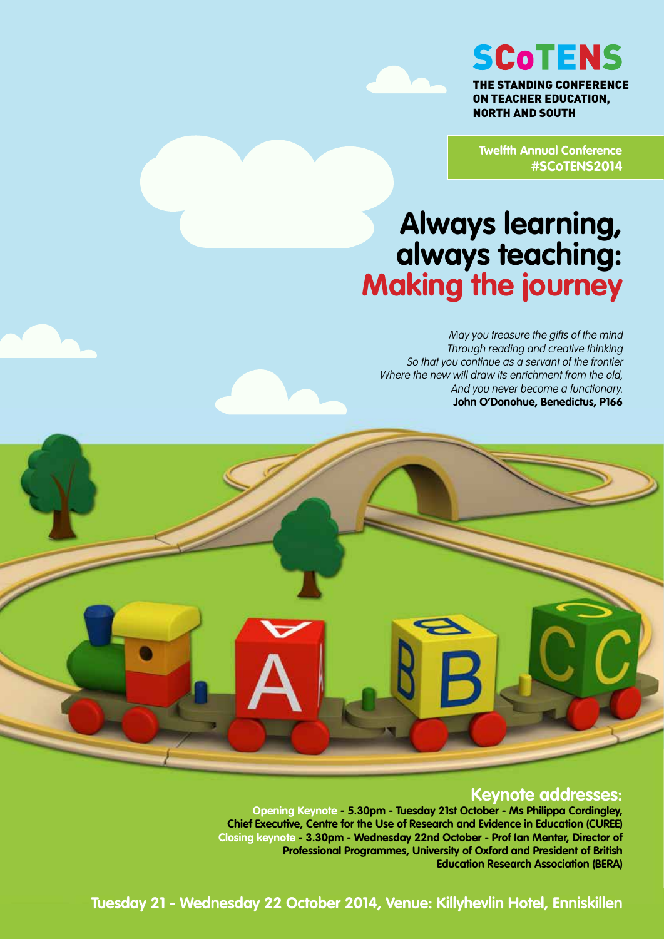

**SCOTENS** 

THE STANDING CONFERENCE ON TEACHER EDUCATION, NORTH AND SOUTH

**Twelfth Annual Conference #SCoTENS2014**

# **Always learning, always teaching: Making the journey**

May you treasure the gifts of the mind Through reading and creative thinking So that you continue as a servant of the frontier Where the new will draw its enrichment from the old, And you never become a functionary. **John O'Donohue, Benedictus, P166**

## **Keynote addresses:**

**Opening Keynote - 5.30pm - Tuesday 21st October - Ms Philippa Cordingley, Chief Executive, Centre for the Use of Research and Evidence in Education (CUREE) Closing keynote - 3.30pm - Wednesday 22nd October - Prof Ian Menter, Director of Professional Programmes, University of Oxford and President of British Education Research Association (BERA)**

**Tuesday 21 - Wednesday 22 October 2014, Venue: Killyhevlin Hotel, Enniskillen**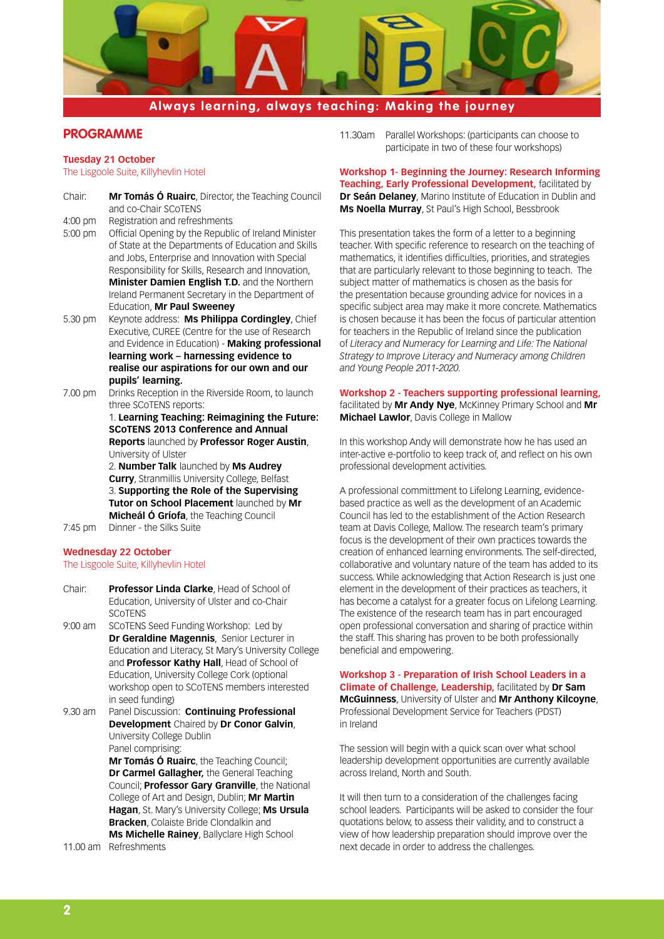

## **PROGRAMME**

#### **Tuesday 21 October**

The Lisgoole Suite, Killyhevlin Hotel

Chair: **Mr Tomás Ó Ruairc**, Director, the Teaching Council and co-Chair SCoTENS 4:00 pm Registration and refreshments 5:00 pm Official Opening by the Republic of Ireland Minister of State at the Departments of Education and Skills and Jobs, Enterprise and Innovation with Special Responsibility for Skills, Research and Innovation, **Minister Damien English T.D.** and the Northern Ireland Permanent Secretary in the Department of Education, **Mr Paul Sweeney** 5.30 pm Keynote address: **Ms Philippa Cordingley**, Chief Executive, CUREE (Centre for the use of Research and Evidence in Education) - **Making professional learning work – harnessing evidence to realise our aspirations for our own and our pupils' learning.**

7.00 pm Drinks Reception in the Riverside Room, to launch three SCoTENS reports: 1. **Learning Teaching: Reimagining the Future:** 

**SCoTENS 2013 Conference and Annual Reports** launched by **Professor Roger Austin**, University of Ulster

2. **Number Talk** launched by **Ms Audrey Curry**, Stranmillis University College, Belfast 3. **Supporting the Role of the Supervising Tutor on School Placement** launched by **Mr Micheál Ó Gríofa**, the Teaching Council

7:45 pm Dinner - the Silks Suite

#### **Wednesday 22 October**

The Lisgoole Suite, Killyhevlin Hotel

- Chair: **Professor Linda Clarke**, Head of School of Education, University of Ulster and co-Chair **SCOTENS**
- 9:00 am SCoTENS Seed Funding Workshop: Led by **Dr Geraldine Magennis**, Senior Lecturer in Education and Literacy, St Mary's University College and **Professor Kathy Hall**, Head of School of Education, University College Cork (optional workshop open to SCoTENS members interested in seed funding)
- 9.30 am Panel Discussion: **Continuing Professional Development** Chaired by **Dr Conor Galvin**, University College Dublin Panel comprising:

**Mr Tomás Ó Ruairc**, the Teaching Council; **Dr Carmel Gallagher,** the General Teaching Council; **Professor Gary Granville**, the National College of Art and Design, Dublin; **Mr Martin Hagan**, St. Mary's University College; **Ms Ursula Bracken**, Colaiste Bride Clondalkin and **Ms Michelle Rainey**, Ballyclare High School

11.00 am Refreshments

11.30am Parallel Workshops: (participants can choose to participate in two of these four workshops)

#### **Workshop 1- Beginning the Journey: Research Informing Teaching, Early Professional Development,** facilitated by **Dr Seán Delaney**, Marino Institute of Education in Dublin and **Ms Noella Murray**, St Paul's High School, Bessbrook

This presentation takes the form of a letter to a beginning teacher. With specific reference to research on the teaching of mathematics, it identifies difficulties, priorities, and strategies that are particularly relevant to those beginning to teach. The subject matter of mathematics is chosen as the basis for the presentation because grounding advice for novices in a specific subject area may make it more concrete. Mathematics is chosen because it has been the focus of particular attention for teachers in the Republic of Ireland since the publication of *Literacy and Numeracy for Learning and Life: The National Strategy to Improve Literacy and Numeracy among Children and Young People 2011-2020.* 

**Workshop 2 - Teachers supporting professional learning,**  facilitated by **Mr Andy Nye**, McKinney Primary School and **Mr Michael Lawlor**, Davis College in Mallow

In this workshop Andy will demonstrate how he has used an inter-active e-portfolio to keep track of, and reflect on his own professional development activities.

A professional committment to Lifelong Learning, evidencebased practice as well as the development of an Academic Council has led to the establishment of the Action Research team at Davis College, Mallow. The research team's primary focus is the development of their own practices towards the creation of enhanced learning environments. The self-directed, collaborative and voluntary nature of the team has added to its success. While acknowledging that Action Research is just one element in the development of their practices as teachers, it has become a catalyst for a greater focus on Lifelong Learning. The existence of the research team has in part encouraged open professional conversation and sharing of practice within the staff. This sharing has proven to be both professionally beneficial and empowering.

**Workshop 3 - Preparation of Irish School Leaders in a Climate of Challenge, Leadership,** facilitated by **Dr Sam McGuinness**, University of Ulster and **Mr Anthony Kilcoyne**, Professional Development Service for Teachers (PDST) in Ireland

The session will begin with a quick scan over what school leadership development opportunities are currently available across Ireland, North and South.

It will then turn to a consideration of the challenges facing school leaders. Participants will be asked to consider the four quotations below, to assess their validity, and to construct a view of how leadership preparation should improve over the next decade in order to address the challenges.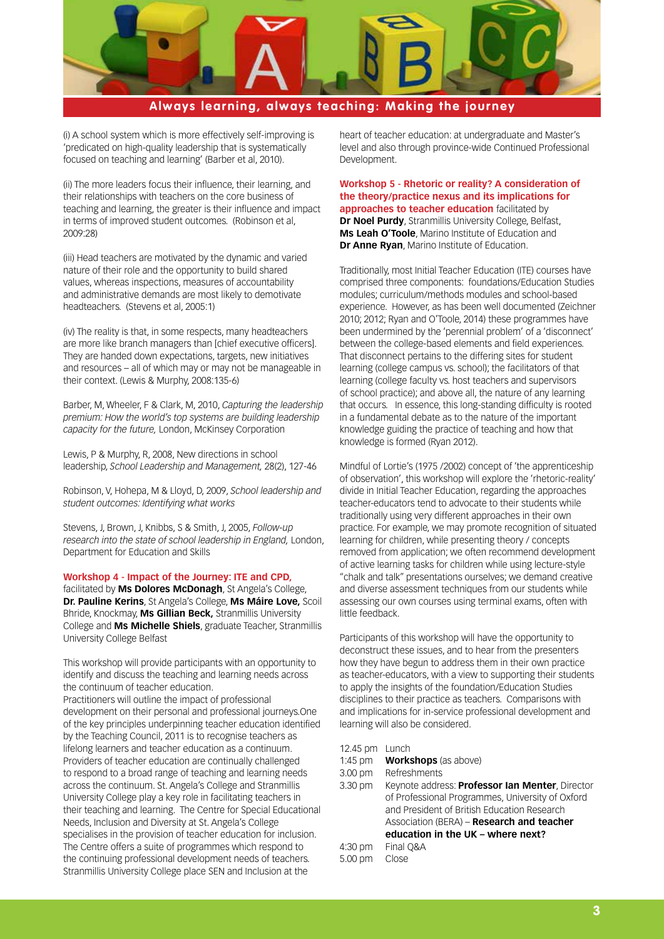

(i) A school system which is more effectively self-improving is 'predicated on high-quality leadership that is systematically focused on teaching and learning' (Barber et al, 2010).

(ii) The more leaders focus their influence, their learning, and their relationships with teachers on the core business of teaching and learning, the greater is their influence and impact in terms of improved student outcomes. (Robinson et al, 2009:28)

(iii) Head teachers are motivated by the dynamic and varied nature of their role and the opportunity to build shared values, whereas inspections, measures of accountability and administrative demands are most likely to demotivate headteachers. (Stevens et al, 2005:1)

(iv) The reality is that, in some respects, many headteachers are more like branch managers than [chief executive officers]. They are handed down expectations, targets, new initiatives and resources – all of which may or may not be manageable in their context. (Lewis & Murphy, 2008:135-6)

Barber, M, Wheeler, F & Clark, M, 2010, *Capturing the leadership premium: How the world's top systems are building leadership capacity for the future,* London, McKinsey Corporation

Lewis, P & Murphy, R, 2008, New directions in school leadership, *School Leadership and Management,* 28(2), 127-46

Robinson, V, Hohepa, M & Lloyd, D, 2009, *School leadership and student outcomes: Identifying what works*

Stevens, J, Brown, J, Knibbs, S & Smith, J, 2005, *Follow-up research into the state of school leadership in England,* London, Department for Education and Skills

**Workshop 4 - Impact of the Journey: ITE and CPD,** 

facilitated by **Ms Dolores McDonagh**, St Angela's College, **Dr. Pauline Kerins**, St Angela's College, **Ms Máire Love,** Scoil Bhride, Knockmay, **Ms Gillian Beck,** Stranmillis University College and **Ms Michelle Shiels**, graduate Teacher, Stranmillis University College Belfast

This workshop will provide participants with an opportunity to identify and discuss the teaching and learning needs across the continuum of teacher education.

Practitioners will outline the impact of professional development on their personal and professional journeys.One of the key principles underpinning teacher education identified by the Teaching Council, 2011 is to recognise teachers as lifelong learners and teacher education as a continuum. Providers of teacher education are continually challenged to respond to a broad range of teaching and learning needs across the continuum. St. Angela's College and Stranmillis University College play a key role in facilitating teachers in their teaching and learning. The Centre for Special Educational Needs, Inclusion and Diversity at St. Angela's College specialises in the provision of teacher education for inclusion. The Centre offers a suite of programmes which respond to the continuing professional development needs of teachers. Stranmillis University College place SEN and Inclusion at the

heart of teacher education: at undergraduate and Master's level and also through province-wide Continued Professional Development.

**Workshop 5 - Rhetoric or reality? A consideration of the theory/practice nexus and its implications for approaches to teacher education** facilitated by **Dr Noel Purdy**, Stranmillis University College, Belfast, **Ms Leah O'Toole**, Marino Institute of Education and **Dr Anne Ryan**, Marino Institute of Education.

Traditionally, most Initial Teacher Education (ITE) courses have comprised three components: foundations/Education Studies modules; curriculum/methods modules and school-based experience. However, as has been well documented (Zeichner 2010; 2012; Ryan and O'Toole, 2014) these programmes have been undermined by the 'perennial problem' of a 'disconnect' between the college-based elements and field experiences. That disconnect pertains to the differing sites for student learning (college campus vs. school); the facilitators of that learning (college faculty vs. host teachers and supervisors of school practice); and above all, the nature of any learning that occurs. In essence, this long-standing difficulty is rooted in a fundamental debate as to the nature of the important knowledge guiding the practice of teaching and how that knowledge is formed (Ryan 2012).

Mindful of Lortie's (1975 /2002) concept of 'the apprenticeship of observation', this workshop will explore the 'rhetoric-reality' divide in Initial Teacher Education, regarding the approaches teacher-educators tend to advocate to their students while traditionally using very different approaches in their own practice. For example, we may promote recognition of situated learning for children, while presenting theory / concepts removed from application; we often recommend development of active learning tasks for children while using lecture-style "chalk and talk" presentations ourselves; we demand creative and diverse assessment techniques from our students while assessing our own courses using terminal exams, often with little feedback.

Participants of this workshop will have the opportunity to deconstruct these issues, and to hear from the presenters how they have begun to address them in their own practice as teacher-educators, with a view to supporting their students to apply the insights of the foundation/Education Studies disciplines to their practice as teachers. Comparisons with and implications for in-service professional development and learning will also be considered.

- 12.45 pm Lunch
- 1:45 pm **Workshops** (as above)
- 3.00 pm Refreshments
- 3.30 pm Keynote address: **Professor Ian Menter**, Director of Professional Programmes, University of Oxford and President of British Education Research Association (BERA) – **Research and teacher education in the UK – where next?** 4:30 pm Final Q&A
- 5.00 pm Close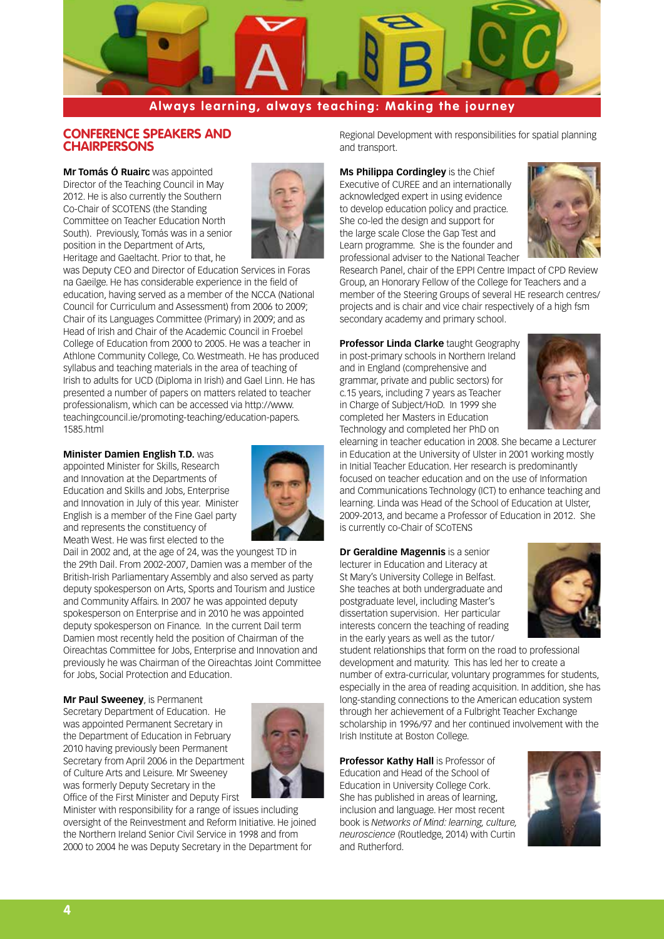

## **CONFERENCE SPEAKERS AND CHAIRPERSONS**

**Mr Tomás Ó Ruairc** was appointed Director of the Teaching Council in May 2012. He is also currently the Southern Co-Chair of SCOTENS (the Standing Committee on Teacher Education North South). Previously, Tomás was in a senior position in the Department of Arts, Heritage and Gaeltacht. Prior to that, he



was Deputy CEO and Director of Education Services in Foras na Gaeilge. He has considerable experience in the field of education, having served as a member of the NCCA (National Council for Curriculum and Assessment) from 2006 to 2009; Chair of its Languages Committee (Primary) in 2009; and as Head of Irish and Chair of the Academic Council in Froebel College of Education from 2000 to 2005. He was a teacher in Athlone Community College, Co. Westmeath. He has produced syllabus and teaching materials in the area of teaching of Irish to adults for UCD (Diploma in Irish) and Gael Linn. He has presented a number of papers on matters related to teacher professionalism, which can be accessed via http://www. teachingcouncil.ie/promoting-teaching/education-papers. 1585.html

#### **Minister Damien English T.D.** was

appointed Minister for Skills, Research and Innovation at the Departments of Education and Skills and Jobs, Enterprise and Innovation in July of this year. Minister English is a member of the Fine Gael party and represents the constituency of Meath West. He was first elected to the



Dail in 2002 and, at the age of 24, was the youngest TD in the 29th Dail. From 2002-2007, Damien was a member of the British-Irish Parliamentary Assembly and also served as party deputy spokesperson on Arts, Sports and Tourism and Justice and Community Affairs. In 2007 he was appointed deputy spokesperson on Enterprise and in 2010 he was appointed deputy spokesperson on Finance. In the current Dail term Damien most recently held the position of Chairman of the Oireachtas Committee for Jobs, Enterprise and Innovation and previously he was Chairman of the Oireachtas Joint Committee for Jobs, Social Protection and Education.

**Mr Paul Sweeney**, is Permanent Secretary Department of Education. He was appointed Permanent Secretary in the Department of Education in February 2010 having previously been Permanent Secretary from April 2006 in the Department of Culture Arts and Leisure. Mr Sweeney was formerly Deputy Secretary in the Office of the First Minister and Deputy First



Minister with responsibility for a range of issues including oversight of the Reinvestment and Reform Initiative. He joined the Northern Ireland Senior Civil Service in 1998 and from 2000 to 2004 he was Deputy Secretary in the Department for

Regional Development with responsibilities for spatial planning and transport.

**Ms Philippa Cordingley** is the Chief Executive of CUREE and an internationally acknowledged expert in using evidence to develop education policy and practice. She co-led the design and support for the large scale Close the Gap Test and Learn programme. She is the founder and professional adviser to the National Teacher



Research Panel, chair of the EPPI Centre Impact of CPD Review Group, an Honorary Fellow of the College for Teachers and a member of the Steering Groups of several HE research centres/ projects and is chair and vice chair respectively of a high fsm secondary academy and primary school.

**Professor Linda Clarke** taught Geography in post-primary schools in Northern Ireland and in England (comprehensive and grammar, private and public sectors) for c.15 years, including 7 years as Teacher in Charge of Subject/HoD. In 1999 she completed her Masters in Education Technology and completed her PhD on



elearning in teacher education in 2008. She became a Lecturer in Education at the University of Ulster in 2001 working mostly in Initial Teacher Education. Her research is predominantly focused on teacher education and on the use of Information and Communications Technology (ICT) to enhance teaching and learning. Linda was Head of the School of Education at Ulster, 2009-2013, and became a Professor of Education in 2012. She is currently co-Chair of SCoTENS

**Dr Geraldine Magennis** is a senior lecturer in Education and Literacy at St Mary's University College in Belfast. She teaches at both undergraduate and postgraduate level, including Master's dissertation supervision. Her particular interests concern the teaching of reading in the early years as well as the tutor/



student relationships that form on the road to professional development and maturity. This has led her to create a number of extra-curricular, voluntary programmes for students, especially in the area of reading acquisition. In addition, she has long-standing connections to the American education system through her achievement of a Fulbright Teacher Exchange scholarship in 1996/97 and her continued involvement with the Irish Institute at Boston College.

**Professor Kathy Hall** is Professor of Education and Head of the School of Education in University College Cork. She has published in areas of learning, inclusion and language. Her most recent book is *Networks of Mind: learning, culture, neuroscience* (Routledge, 2014) with Curtin and Rutherford.

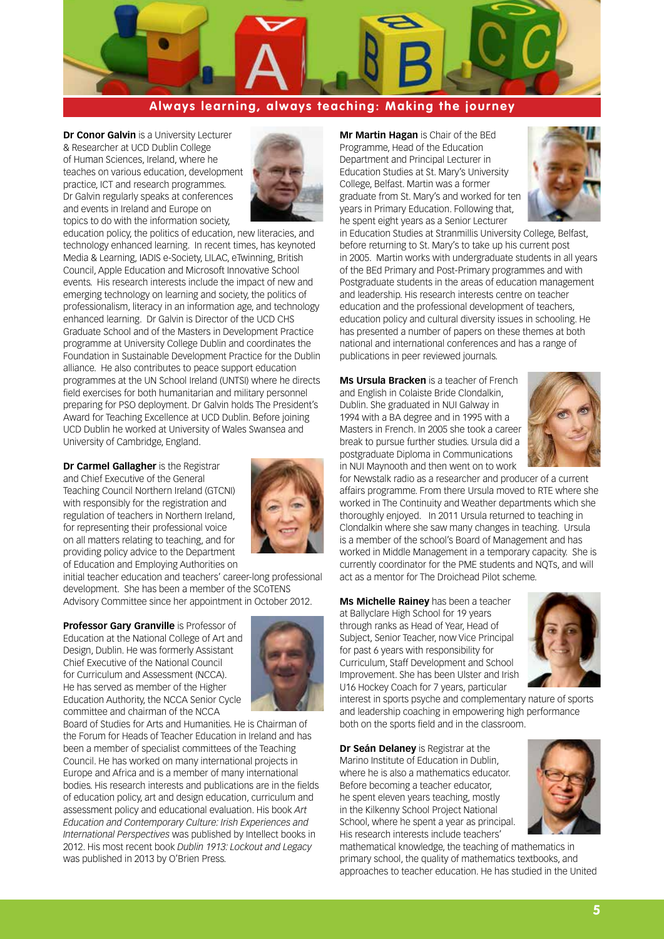

**Dr Conor Galvin** is a University Lecturer & Researcher at UCD Dublin College of Human Sciences, Ireland, where he teaches on various education, development practice, ICT and research programmes. Dr Galvin regularly speaks at conferences and events in Ireland and Europe on topics to do with the information society,



education policy, the politics of education, new literacies, and technology enhanced learning. In recent times, has keynoted Media & Learning, IADIS e-Society, LILAC, eTwinning, British Council, Apple Education and Microsoft Innovative School events. His research interests include the impact of new and emerging technology on learning and society, the politics of professionalism, literacy in an information age, and technology enhanced learning. Dr Galvin is Director of the UCD CHS Graduate School and of the Masters in Development Practice programme at University College Dublin and coordinates the Foundation in Sustainable Development Practice for the Dublin alliance. He also contributes to peace support education programmes at the UN School Ireland (UNTSI) where he directs field exercises for both humanitarian and military personnel preparing for PSO deployment. Dr Galvin holds The President's Award for Teaching Excellence at UCD Dublin. Before joining UCD Dublin he worked at University of Wales Swansea and University of Cambridge, England.

**Dr Carmel Gallagher** is the Registrar and Chief Executive of the General Teaching Council Northern Ireland (GTCNI) with responsibly for the registration and regulation of teachers in Northern Ireland, for representing their professional voice on all matters relating to teaching, and for providing policy advice to the Department of Education and Employing Authorities on



initial teacher education and teachers' career-long professional development. She has been a member of the SCoTENS Advisory Committee since her appointment in October 2012.

**Professor Gary Granville** is Professor of Education at the National College of Art and Design, Dublin. He was formerly Assistant Chief Executive of the National Council for Curriculum and Assessment (NCCA). He has served as member of the Higher Education Authority, the NCCA Senior Cycle committee and chairman of the NCCA



Board of Studies for Arts and Humanities. He is Chairman of the Forum for Heads of Teacher Education in Ireland and has been a member of specialist committees of the Teaching Council. He has worked on many international projects in Europe and Africa and is a member of many international bodies. His research interests and publications are in the fields of education policy, art and design education, curriculum and assessment policy and educational evaluation. His book *Art Education and Contemporary Culture: Irish Experiences and International Perspectives* was published by Intellect books in 2012. His most recent book *Dublin 1913: Lockout and Legacy*  was published in 2013 by O'Brien Press.

**Mr Martin Hagan** is Chair of the BEd Programme, Head of the Education Department and Principal Lecturer in Education Studies at St. Mary's University College, Belfast. Martin was a former graduate from St. Mary's and worked for ten years in Primary Education. Following that, he spent eight years as a Senior Lecturer



in Education Studies at Stranmillis University College, Belfast, before returning to St. Mary's to take up his current post in 2005. Martin works with undergraduate students in all years of the BEd Primary and Post-Primary programmes and with Postgraduate students in the areas of education management and leadership. His research interests centre on teacher education and the professional development of teachers, education policy and cultural diversity issues in schooling. He has presented a number of papers on these themes at both national and international conferences and has a range of publications in peer reviewed journals.

**Ms Ursula Bracken** is a teacher of French and English in Colaiste Bride Clondalkin, Dublin. She graduated in NUI Galway in 1994 with a BA degree and in 1995 with a Masters in French. In 2005 she took a career break to pursue further studies. Ursula did a postgraduate Diploma in Communications in NUI Maynooth and then went on to work



for Newstalk radio as a researcher and producer of a current affairs programme. From there Ursula moved to RTE where she worked in The Continuity and Weather departments which she thoroughly enjoyed. In 2011 Ursula returned to teaching in Clondalkin where she saw many changes in teaching. Ursula is a member of the school's Board of Management and has worked in Middle Management in a temporary capacity. She is currently coordinator for the PME students and NQTs, and will act as a mentor for The Droichead Pilot scheme.

**Ms Michelle Rainey** has been a teacher at Ballyclare High School for 19 years through ranks as Head of Year, Head of Subject, Senior Teacher, now Vice Principal for past 6 years with responsibility for Curriculum, Staff Development and School Improvement. She has been Ulster and Irish U16 Hockey Coach for 7 years, particular



interest in sports psyche and complementary nature of sports and leadership coaching in empowering high performance both on the sports field and in the classroom.

**Dr Seán Delaney** is Registrar at the Marino Institute of Education in Dublin, where he is also a mathematics educator. Before becoming a teacher educator, he spent eleven years teaching, mostly in the Kilkenny School Project National School, where he spent a year as principal. His research interests include teachers'



mathematical knowledge, the teaching of mathematics in primary school, the quality of mathematics textbooks, and approaches to teacher education. He has studied in the United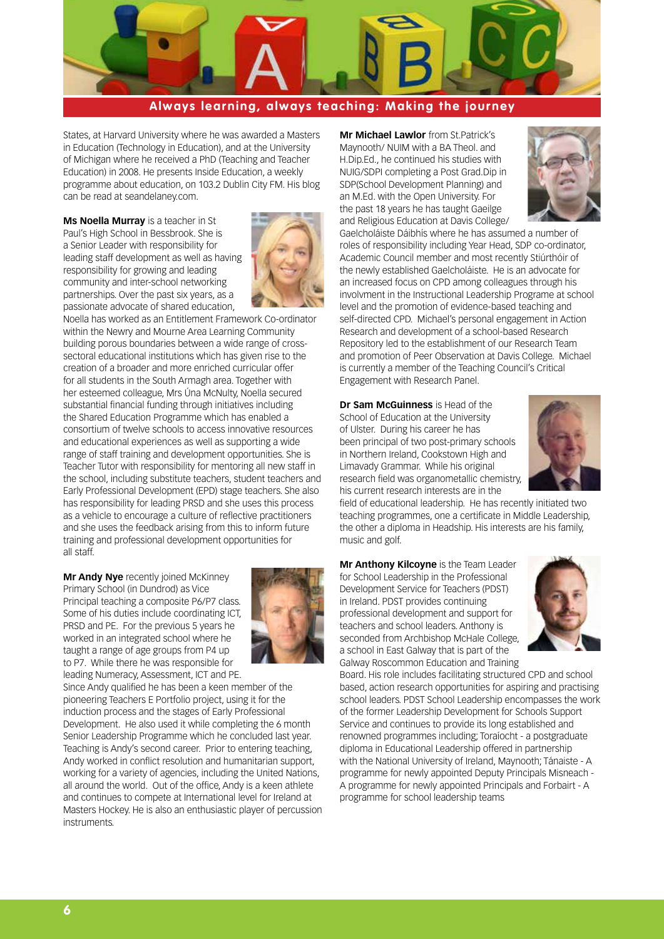

States, at Harvard University where he was awarded a Masters in Education (Technology in Education), and at the University of Michigan where he received a PhD (Teaching and Teacher Education) in 2008. He presents Inside Education, a weekly programme about education, on 103.2 Dublin City FM. His blog can be read at seandelaney.com.

**Ms Noella Murray** is a teacher in St Paul's High School in Bessbrook. She is a Senior Leader with responsibility for leading staff development as well as having responsibility for growing and leading community and inter-school networking partnerships. Over the past six years, as a passionate advocate of shared education,



Noella has worked as an Entitlement Framework Co-ordinator within the Newry and Mourne Area Learning Community building porous boundaries between a wide range of crosssectoral educational institutions which has given rise to the creation of a broader and more enriched curricular offer for all students in the South Armagh area. Together with her esteemed colleague, Mrs Úna McNulty, Noella secured substantial financial funding through initiatives including the Shared Education Programme which has enabled a consortium of twelve schools to access innovative resources and educational experiences as well as supporting a wide range of staff training and development opportunities. She is Teacher Tutor with responsibility for mentoring all new staff in the school, including substitute teachers, student teachers and Early Professional Development (EPD) stage teachers. She also has responsibility for leading PRSD and she uses this process as a vehicle to encourage a culture of reflective practitioners and she uses the feedback arising from this to inform future training and professional development opportunities for all staff.

**Mr Andy Nye** recently joined McKinney Primary School (in Dundrod) as Vice Principal teaching a composite P6/P7 class. Some of his duties include coordinating ICT, PRSD and PE. For the previous 5 years he worked in an integrated school where he taught a range of age groups from P4 up to P7. While there he was responsible for leading Numeracy, Assessment, ICT and PE.



Since Andy qualified he has been a keen member of the pioneering Teachers E Portfolio project, using it for the induction process and the stages of Early Professional Development. He also used it while completing the 6 month Senior Leadership Programme which he concluded last year. Teaching is Andy's second career. Prior to entering teaching, Andy worked in conflict resolution and humanitarian support, working for a variety of agencies, including the United Nations, all around the world. Out of the office, Andy is a keen athlete and continues to compete at International level for Ireland at Masters Hockey. He is also an enthusiastic player of percussion instruments.

**Mr Michael Lawlor** from St.Patrick's Maynooth/ NUIM with a BA Theol. and H.Dip.Ed., he continued his studies with NUIG/SDPI completing a Post Grad.Dip in SDP(School Development Planning) and an M.Ed. with the Open University. For the past 18 years he has taught Gaeilge and Religious Education at Davis College/



Gaelcholáiste Dáibhís where he has assumed a number of roles of responsibility including Year Head, SDP co-ordinator, Academic Council member and most recently Stiúrthóir of the newly established Gaelcholáiste. He is an advocate for an increased focus on CPD among colleagues through his involvment in the Instructional Leadership Programe at school level and the promotion of evidence-based teaching and self-directed CPD. Michael's personal engagement in Action Research and development of a school-based Research Repository led to the establishment of our Research Team and promotion of Peer Observation at Davis College. Michael is currently a member of the Teaching Council's Critical Engagement with Research Panel.

**Dr Sam McGuinness** is Head of the School of Education at the University of Ulster. During his career he has been principal of two post-primary schools in Northern Ireland, Cookstown High and Limavady Grammar. While his original research field was organometallic chemistry, his current research interests are in the



field of educational leadership. He has recently initiated two teaching programmes, one a certificate in Middle Leadership, the other a diploma in Headship. His interests are his family, music and golf.

**Mr Anthony Kilcoyne** is the Team Leader for School Leadership in the Professional Development Service for Teachers (PDST) in Ireland. PDST provides continuing professional development and support for teachers and school leaders. Anthony is seconded from Archbishop McHale College, a school in East Galway that is part of the Galway Roscommon Education and Training



Board. His role includes facilitating structured CPD and school based, action research opportunities for aspiring and practising school leaders. PDST School Leadership encompasses the work of the former Leadership Development for Schools Support Service and continues to provide its long established and renowned programmes including; Toraíocht - a postgraduate diploma in Educational Leadership offered in partnership with the National University of Ireland, Maynooth; Tánaiste - A programme for newly appointed Deputy Principals Misneach - A programme for newly appointed Principals and Forbairt - A programme for school leadership teams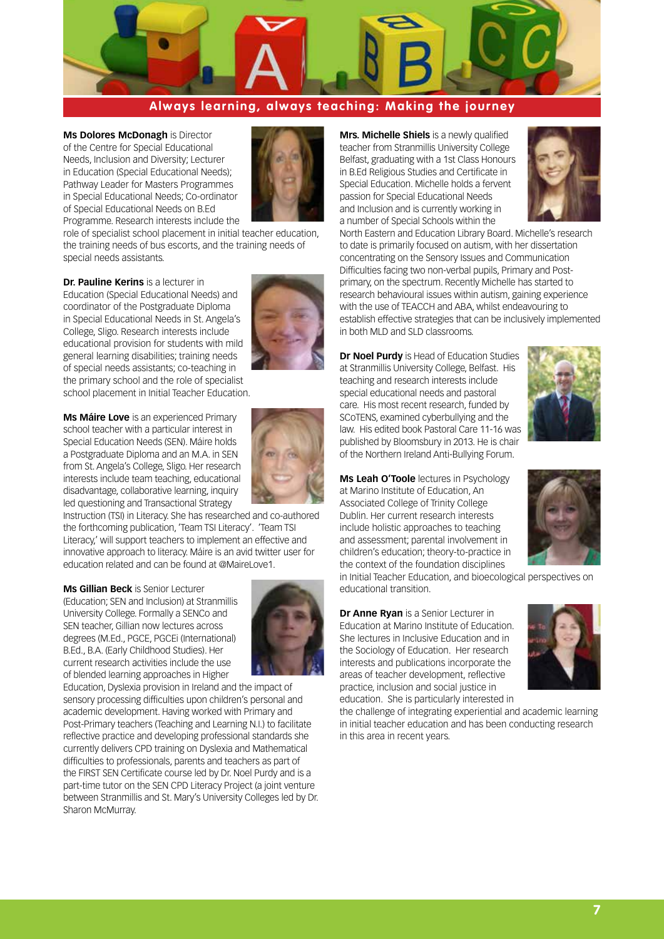

**Ms Dolores McDonagh** is Director of the Centre for Special Educational Needs, Inclusion and Diversity; Lecturer in Education (Special Educational Needs); Pathway Leader for Masters Programmes in Special Educational Needs; Co-ordinator of Special Educational Needs on B.Ed Programme. Research interests include the



role of specialist school placement in initial teacher education, the training needs of bus escorts, and the training needs of special needs assistants.

**Dr. Pauline Kerins** is a lecturer in Education (Special Educational Needs) and coordinator of the Postgraduate Diploma in Special Educational Needs in St. Angela's College, Sligo. Research interests include educational provision for students with mild general learning disabilities; training needs of special needs assistants; co-teaching in the primary school and the role of specialist school placement in Initial Teacher Education.

**Ms Máire Love** is an experienced Primary school teacher with a particular interest in Special Education Needs (SEN). Máire holds a Postgraduate Diploma and an M.A. in SEN from St. Angela's College, Sligo. Her research interests include team teaching, educational disadvantage, collaborative learning, inquiry led questioning and Transactional Strategy



Instruction (TSI) in Literacy. She has researched and co-authored the forthcoming publication, 'Team TSI Literacy'. 'Team TSI Literacy,' will support teachers to implement an effective and innovative approach to literacy. Máire is an avid twitter user for education related and can be found at @MaireLove1.

**Ms Gillian Beck** is Senior Lecturer (Education; SEN and Inclusion) at Stranmillis University College. Formally a SENCo and SEN teacher, Gillian now lectures across degrees (M.Ed., PGCE, PGCEi (International) B.Ed., B.A. (Early Childhood Studies). Her current research activities include the use of blended learning approaches in Higher

![](_page_6_Picture_10.jpeg)

Education, Dyslexia provision in Ireland and the impact of sensory processing difficulties upon children's personal and academic development. Having worked with Primary and Post-Primary teachers (Teaching and Learning N.I.) to facilitate reflective practice and developing professional standards she currently delivers CPD training on Dyslexia and Mathematical difficulties to professionals, parents and teachers as part of the FIRST SEN Certificate course led by Dr. Noel Purdy and is a part-time tutor on the SEN CPD Literacy Project (a joint venture between Stranmillis and St. Mary's University Colleges led by Dr. Sharon McMurray.

**Mrs. Michelle Shiels** is a newly qualified teacher from Stranmillis University College Belfast, graduating with a 1st Class Honours in B.Ed Religious Studies and Certificate in Special Education. Michelle holds a fervent passion for Special Educational Needs and Inclusion and is currently working in a number of Special Schools within the

![](_page_6_Picture_13.jpeg)

North Eastern and Education Library Board. Michelle's research to date is primarily focused on autism, with her dissertation concentrating on the Sensory Issues and Communication Difficulties facing two non-verbal pupils, Primary and Postprimary, on the spectrum. Recently Michelle has started to research behavioural issues within autism, gaining experience with the use of TEACCH and ABA, whilst endeavouring to establish effective strategies that can be inclusively implemented in both MLD and SLD classrooms.

**Dr Noel Purdy** is Head of Education Studies at Stranmillis University College, Belfast. His teaching and research interests include special educational needs and pastoral care. His most recent research, funded by SCoTENS, examined cyberbullying and the law. His edited book Pastoral Care 11-16 was published by Bloomsbury in 2013. He is chair of the Northern Ireland Anti-Bullying Forum.

![](_page_6_Picture_16.jpeg)

**Ms Leah O'Toole** lectures in Psychology at Marino Institute of Education, An Associated College of Trinity College Dublin. Her current research interests include holistic approaches to teaching and assessment; parental involvement in children's education; theory-to-practice in the context of the foundation disciplines

in Initial Teacher Education, and bioecological perspectives on educational transition.

**Dr Anne Ryan** is a Senior Lecturer in Education at Marino Institute of Education. She lectures in Inclusive Education and in the Sociology of Education. Her research interests and publications incorporate the areas of teacher development, reflective practice, inclusion and social justice in education. She is particularly interested in

![](_page_6_Picture_20.jpeg)

the challenge of integrating experiential and academic learning in initial teacher education and has been conducting research in this area in recent years.

![](_page_6_Picture_22.jpeg)